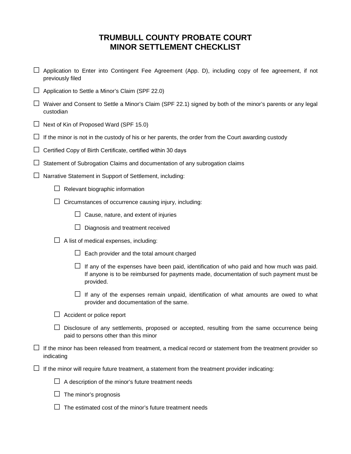## **TRUMBULL COUNTY PROBATE COURT MINOR SETTLEMENT CHECKLIST**

- $\Box$  Application to Enter into Contingent Fee Agreement (App. D), including copy of fee agreement, if not previously filed
- $\Box$  Application to Settle a Minor's Claim (SPF 22.0)
- □ Waiver and Consent to Settle a Minor's Claim (SPF 22.1) signed by both of the minor's parents or any legal custodian
- $\Box$  Next of Kin of Proposed Ward (SPF 15.0)
- $\Box$  If the minor is not in the custody of his or her parents, the order from the Court awarding custody
- $\Box$  Certified Copy of Birth Certificate, certified within 30 days
- $\Box$  Statement of Subrogation Claims and documentation of any subrogation claims
- $\Box$  Narrative Statement in Support of Settlement, including:
	- $\Box$  Relevant biographic information
	- $\Box$  Circumstances of occurrence causing injury, including:
		- $\Box$  Cause, nature, and extent of injuries
		- $\Box$  Diagnosis and treatment received
	- $\Box$  A list of medical expenses, including:
		- $\Box$  Each provider and the total amount charged
		- $\Box$  If any of the expenses have been paid, identification of who paid and how much was paid. If anyone is to be reimbursed for payments made, documentation of such payment must be provided.
		- $\Box$  If any of the expenses remain unpaid, identification of what amounts are owed to what provider and documentation of the same.
	- $\Box$  Accident or police report
	- $\Box$  Disclosure of any settlements, proposed or accepted, resulting from the same occurrence being paid to persons other than this minor
- $\Box$  If the minor has been released from treatment, a medical record or statement from the treatment provider so indicating
- $\Box$  If the minor will require future treatment, a statement from the treatment provider indicating:
	- $\Box$  A description of the minor's future treatment needs
	- $\Box$  The minor's prognosis
	- $\Box$  The estimated cost of the minor's future treatment needs